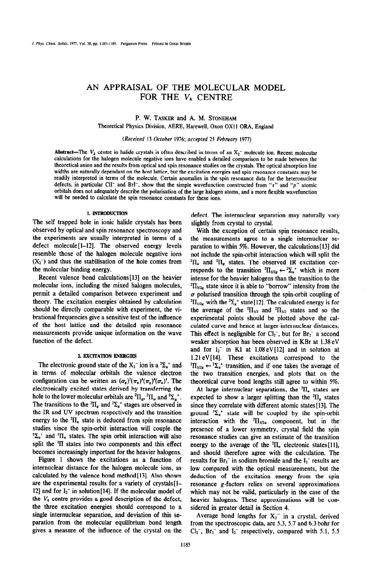# AN APPRAISAL OF THE MOLECULAR MODEL FOR THE  $V_k$  CENTRE

# P. W. TASKER and A. M. STONEHAM

Theoretical Physics Division, AERE, Harewell, Oxon OX11 ORA, England

(Received 13 October 1976; accepted 25 February 1977)

Abstract—The  $V_k$  centre in halide crystals is often described in terms of an  $X_2$ <sup>-</sup> molecule ion. Recent molecular calculations for the haiogen molecule negative ions have enabled a detailed comparison to be made between the theoretical anion and the resuhs from optical and spin resonance studies on the crystals. The optical absorption line widths are naturally dependant on the host lattice, but the excitation energies and spin resonance constants may be readily interpreted in terms of the molecule. Certain anomalies in the spin resonance data for the heteronuclear defects, in particular CII<sup>-</sup> and BrI<sup>-</sup>, show that the simple wavefunction constructed from "s" and "p" atomic orbitals does not adequately describe the polarisation of the large halogen atoms, **and a more flexible wavefunction**  will be needed to calculate the spin resonance constants **for these ions.** 

## **1. INTRODUCTION**

The self trapped hole in ionic halide crystals has been observed by optical and spin resonance spectroscopy and the experiments are usually interpreted in terms of a defect molecule<sup>[1-12]</sup>. The observed energy levels resemble those of the halogen molecule negative ions  $(X_2^-)$  and thus the stabilisation of the hole comes from the molecular binding energy.

Recent valence bond calculations[13] on the heavier molecular ions, including the mixed halogen molecules, permit a detailed comparison between experiment and theory. The excitation energies obtained by calculation should be directly comparable with experiment, the vibrational frequencies give a sensitive test of the influence of the host lattice and the detailed spin resonance measurements provide unique information on the wave function of the defect.

#### 2. EXCITATION ENERGIES

The electronic ground state of the  $X_2$ <sup>-</sup> ion is a  ${}^2\Sigma_a$ <sup>+</sup> and in terms of molecular orbitals the valence electron configuration can be written as  $({\sigma_s})^2({\pi_u})^4({\sigma_u})^1$ . The electronically excited states derived by transferring the hole to the lower molecular orbitals are  ${}^{2} \Pi_{\alpha}$ ,  ${}^{2} \Pi_{\alpha}$  and  ${}^{2} \Sigma_{\alpha}$ <sup>+</sup>. The transitions to the <sup>2</sup> $\Pi_s$  and <sup>2</sup> $\Sigma_s$ <sup>\*</sup> stages are observed in the IR and UV spectrum respectiveIy and the transition energy to the  ${}^{2}$  $\Pi_{u}$  state is deduced from spin resonance studies since the spin~rbit interaction will couple the  ${}^{2}\Sigma_{\mu}$ <sup>+</sup> and <sup>2</sup>II<sub>\*</sub> states. The spin orbit interaction will also spht the \*II states into two components and this effect becomes increasingly important for the heavier halogens.

Figure 1 shows the excitations as a function of internuclear distance for the halogen molecule ions, as calculated by the valence bond method[l3]. Also shown are the experimental results for a variety of crystals[l-12] and for  $I_2^-$  in solution[14]. If the molecular model of the  $V_k$  centre provides a good description of the defect, the three excitation energies should correspond to a single internuclear separation, and deviation of this separation from the molecular equilibrium bond length gives a measure of the influence of the crystal on the

defect. The internuclear separation may naturally vary slightIy from crystal to crystal.

With the exception of certain spin resonance results, the measurements agree to a singie internuclear separation to within 5%. However, the calculations [13] did not include the spin-orbit interaction which will split the  ${}^{2}$ II<sub>u</sub> and  ${}^{2}$ II<sub>u</sub> states. The observed IR excitation corresponds to the transition  ${}^{2}\Pi_{1/2g} \leftarrow {}^{2}\Sigma_{u}^{+}$  which is more intense for the heavier halogens than the transition to the  ${}^{2}$ II<sub>3/2s</sub> state since it is able to "borrow" intensity from the  $\sigma$  polarised transition through the spin-orbit coupling of <sup>2</sup>II<sub>1/2s</sub> with the <sup>2</sup> $\sum_{s}$ <sup>+</sup> state[12]. The calculated energy is for the average of the  ${}^{2}H_{1/2}$  and  ${}^{2}H_{3/2}$  states and so the experimental points should be plotted above the catculated curve and hence at larger internuclear distances. This effect is neglignible for  $Cl_2^-$ , but for  $Br_2^-$  a second weaker absorption has been observed in KBr at 1.38 eV and for  $I_2^-$  in KI at 1.08 eV[12] and in solution at 1.21 eV[14]. These excitations correspond to the  ${}^{2}\Pi_{3/2g} \leftarrow {}^{2}\Sigma_{u}^{+}$  transition, and if one takes the average of the two transition energies, and plots that on the theoretical curve bond lengths still agree to within 5%.

At large internuclear separations, the  ${}^{2}$ II<sub>n</sub> states are expected to show a larger splitting than the  ${}^{2}$ II<sub>s</sub> states since they correlate with different atomic states[13]. The ground  ${}^{2}\Sigma_{u}^{+}$  state will be coupled by the spin-orbit interaction with the  ${}^{2}$ II<sub>1/2u</sub> component, but in the presence of a lower symmetry, crystal field the spin resonance studies can give an estimate of the transition energy to the average of the  ${}^{2}\Pi_{\mu}$  electronic states[11], and should therefore agree with the calculation. The results for  $Br_2^-$  in sodium bromide and the  $I_2^-$  results are low compared with the optical measurements, but the deduction of the excitation energy from the spin resonance g-factors relies on several approximations which may not be valid, particularly in the case of the heavier halogens, These approximations will be considered in greater detail in Section 4.

Average bond lengths for  $X_2$ <sup>-</sup> in a crystal, derived from the spectroscopic data, are 5.3,5.7 and 6.3 bohr for  $Cl<sub>2</sub>$ , Br<sub>2</sub><sup>-</sup> and I<sub>2</sub><sup>-</sup> respectively, compared with 5.1, 5.5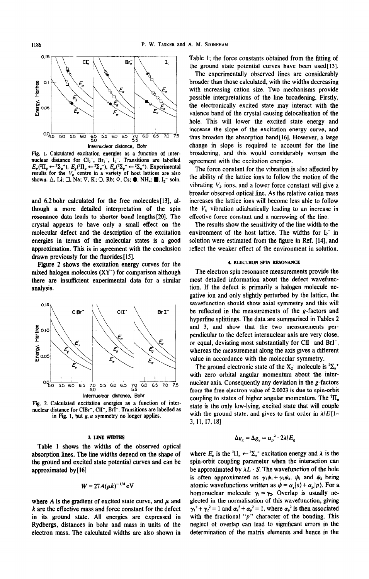

Fig. 1. Calculated excitation energies as a function of internuclear distance for Cl<sub>2</sub><sup>-</sup>, Br<sub>2</sub><sup>-</sup>, I<sub>2</sub><sup>-</sup>. Transitions are labelled  $E_x$ (<sup>2</sup>II<sub>g</sub>  $\leftarrow$  <sup>2</sup> $\Sigma_u$ <sup>+</sup>),  $E_g$ (<sup>2</sup>II<sub>g</sub>  $\leftarrow$  <sup>2</sup> $\Sigma_u$ <sup>+</sup>),  $E_g$ (<sup>2</sup>I<sub>g</sub>  $\leftarrow$  <sup>2</sup> $\Sigma_u$ <sup>+</sup>). Experimental results for the  $V_k$  centre in a shown.  $\Delta$ , Li;  $\Box$ , Na;  $\nabla$ , K;  $\bigcirc$ , Rb;  $\diamond$ , Cs;  $\bigcirc$ , NH<sub>4</sub>;  $\blacksquare$ , I<sub>2</sub><sup>-</sup> soln.

and 6.2 bohr calculated for the free molecules [13], although a more detailed interpretation of the spin resonance data leads to shorter bond lengths[20]. The crystal appears to have only a small effect on the molecular defect and the description of the excitation energies in terms of the molecular states is a good approximation. This is in agreement with the conclusion drawn previously for the fluorides [15].

Figure 2 shows the excitation energy curves for the mixed halogen molecules (XY<sup>-</sup>) for comparison although there are insufficient experimental data for a similar analysis.



Fig. 2. Calculated excitation energies as a function of internuclear distance for CIBr<sup>-</sup>, CII<sup>-</sup>, BrI<sup>-</sup>. Transitions are labelled as in Fig. 1, but  $g, u$  symmetry no longer applies.

#### 3. LINE WIDTHS

Table 1 shows the widths of the observed optical absorption lines. The line widths depend on the shape of the ground and excited state potential curves and can be approximated by [16]

$$
W=27A(\mu k)^{-1/4}\,\mathrm{eV}
$$

where A is the gradient of excited state curve, and  $\mu$  and k are the effective mass and force constant for the defect in its ground state. All energies are expressed in Rydbergs, distances in bohr and mass in units of the electron mass. The calculated widths are also shown in

Table 1: the force constants obtained from the fitting of the ground state potential curves have been used[13].

The experimentally observed lines are considerably broader than those calculated, with the widths decreasing with increasing cation size. Two mechanisms provide possible interpretations of the line broadening. Firstly, the electronically excited state may interact with the valence band of the crystal causing delocalisation of the hole. This will lower the excited state energy and increase the slope of the excitation energy curve, and thus broaden the absorption band [16]. However, a large change in slope is required to account for the line broadening, and this would considerably worsen the agreement with the excitation energies.

The force constant for the vibration is also affected by the ability of the lattice ions to follow the motion of the vibrating  $V_k$  ions, and a lower force constant will give a broader observed optical line. As the relative cation mass increases the lattice ions will become less able to follow the  $V_k$  vibration adiabatically leading to an increase in effective force constant and a narrowing of the line.

The results show the sensitivity of the line width to the environment of the host lattice. The widths for  $I_2^-$  in solution were estimated from the figure in Ref. [14], and reflect the weaker effect of the environment in solution.

#### 4. ELECTRON SPIN RESONANCE

The electron spin resonance measurements provide the most detailed information about the defect wavefunction. If the defect is primarily a halogen molecule negative ion and only slightly perturbed by the lattice, the wavefunction should show axial symmetry and this will be reflected in the measurements of the g-factors and hyperfine splittings. The data are summarised in Tables 2 and 3, and show that the two measurements perpendicular to the defect internuclear axis are very close, or equal, deviating most substantially for CII<sup>-</sup> and BrI<sup>-</sup>, whereas the measurement along the axis gives a different value in accordance with the molecular symmetry.

The ground electronic state of the  $X_2^-$  molecule is  ${}^2\Sigma_u$ <sup>+</sup> with zero orbital angular momentum about the internuclear axis. Consequently any deviation in the g-factors from the free electron value of 2.0023 is due to spin-orbit coupling to states of higher angular momentum. The  ${}^{2}$ H<sub>\*</sub> state is the only low-lying, excited state that will couple with the ground state, and gives to first order in  $\lambda/E[1-\lambda]$ 3, 11, 17, 18]

$$
\Delta g_x = \Delta g_y = \alpha_B^2 \cdot 2\lambda/E_g
$$

where  $E_e$  is the <sup>2</sup> $\Pi_u \leftarrow {}^2\Sigma_u{}^*$  excitation energy and  $\lambda$  is the spin-orbit coupling parameter when the interaction can be approximated by  $\lambda L \cdot S$ . The wavefunction of the hole is often approximated as  $\gamma_1 \psi_1 + \gamma_2 \psi_2$ ,  $\psi_1$  and  $\psi_2$  being atomic wavefunctions written as  $\psi = \alpha_s |s\rangle + \alpha_p |p\rangle$ . For a homonuclear molecule  $\gamma_1 = \gamma_2$ . Overlap is usually neglected in the normalisation of this wavefunction, giving  $\gamma_1^2 + \gamma_2^2 = 1$  and  $\alpha_s^2 + \alpha_p^2 = 1$ , where  $\alpha_p^2$  is then associated<br>with the fractional "p" character of the bonding. This neglect of overlap can lead to significant errors in the determination of the matrix elements and hence in the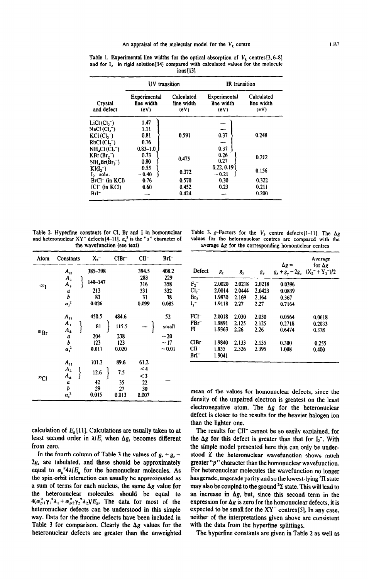|                                                 | UV transition                      |                                  | <b>IR</b> transition               |                                  |  |
|-------------------------------------------------|------------------------------------|----------------------------------|------------------------------------|----------------------------------|--|
| Crystal<br>and defect                           | Experimental<br>line width<br>(eV) | Calculated<br>line width<br>(eV) | Experimental<br>line width<br>(eV) | Calculated<br>line width<br>(eV) |  |
| $LiCl$ (Cl, $\neg$ )<br>$NaCl$ (Cl, $\bar{ }$ ) | 1.47<br>1.11                       |                                  | -                                  |                                  |  |
| $KCl$ (Cl, $\neg$ )                             | 0.81                               | 0.591                            | 0.37                               | 0.248                            |  |
| RbCl(Cl,~)                                      | 0.76                               |                                  |                                    |                                  |  |
| $NH_4Cl$ (Cl <sub>2</sub> -)                    | $0.83 - 1.0$                       |                                  | 0.37                               |                                  |  |
| $KBr(Br, \bar{ } )$                             | 0.73                               | 0.475                            | 0.26                               | 0.212                            |  |
| $NH_4Br(Br,^-)$                                 | 0.80                               |                                  | 0.27                               |                                  |  |
| $KI(I,-)$                                       | 0.55                               | 0.372                            | 0.22, 0.19                         | 0.156                            |  |
| $I_2$ <sup>-</sup> soln.                        | ~10,40                             |                                  | $-0.21$                            |                                  |  |
| $BrCl^-$ (in KCI)                               | 0.76                               | 0.570                            | 0.30                               | 0.322                            |  |
| $ICI^-$ (in $KCl$ )                             | 0.60                               | 0.452                            | 0.23                               | 0.211                            |  |
| $BrI^-$                                         |                                    | 0.424                            |                                    | 0.200                            |  |

Table 1. Experimental line widths for the optical absorption of  $V_k$  centres [3, 6-8] and for  $I_2$  in rigid solution[14] compared with calculated values for the molecule ions [ 131

Table 2. Hyperfine constants for Cl, Br and I in homonuclear and heteronuclear XY<sup>-</sup> defects[4-11].  $\alpha_s^2$  is the "s" character of the wavefunction (see text)

| Atom             | Constants                                                                         | X <sub>2</sub>                           | $CIBr^-$                              | $ClI^-$                                           | BrI-                                      |
|------------------|-----------------------------------------------------------------------------------|------------------------------------------|---------------------------------------|---------------------------------------------------|-------------------------------------------|
| 1273             | $A_{11}$<br>$A_{\perp}$<br>$A_{\pm}$<br>a<br>b<br>$\alpha_s^2$                    | 385-398<br>140-147<br>213<br>83<br>0.026 |                                       | 394.5<br>283<br>316<br>331<br>31<br>0.099         | 408.2<br>229<br>358<br>332<br>38<br>0.083 |
| <sup>81</sup> Br | $A_{11}$<br>$A_{\perp}$<br>$A_{\pm}$<br>a<br>b<br>$\alpha_s^2$                    | 450.5<br>81<br>204<br>123<br>0.017       | 484.6<br>115.5<br>238<br>123<br>0.020 |                                                   | 52<br>small<br>~1<br>~17<br>~10.01        |
| 35Cl             | $A_{11}$<br>$\pmb{A}_\perp$<br>$A_{\pm}$<br>$\boldsymbol{a}$<br>b<br>$\alpha_s^2$ | 101.3<br>12.6<br>42<br>29<br>0.015       | 89.6<br>7.5<br>35<br>27<br>0.013      | 61.2<br>$\leq 4$<br>$\leq$ 3<br>22<br>30<br>0.007 |                                           |

calculation of  $E_{\rm z}$  [11]. Calculations are usually taken to at least second order in  $\lambda/E$ , when  $\Delta g$ , becomes different from zero.

In the fourth column of Table 3 the values of  $g_x + g_y$  - $2g<sub>z</sub>$  are tabulated, and these should be approximately equal to  $\alpha_p^2/4\lambda/E_g$  for the homonuclear molecules. As the spin-orbit interaction can usually be approximated as a sum of terms for each nucleus, the same  $\Delta g$  value for the heteronuclear molecules should be equal to  $4(\alpha_{p_1}^2 \gamma_1^2 \lambda_1 + \alpha_{p_2}^2 \gamma_2^2 \lambda_2)/E_g$ . The data for most of the heteronuclear defects can be understood in this simple way. Data for the fluorine defects have been included in Table 3 for comparison. Clearly the  $\Delta g$  values for the heteronuclear defects are greater than the unweighted

Table 3. g-Factors for the  $V_k$  centre defects[1-11]. The  $\Delta g$ values for the heteronuclear centres are compared with the average  $\Delta g$  for the corresponding homonuclear centres

| Defect            | $g_{z}$         | $g_{x}$ | $g_{y}$ | $\Delta g =$ | Average<br>for $\Delta g$<br>$g_x + g_y - 2g_z (X_2 - Y_2)/2$ |
|-------------------|-----------------|---------|---------|--------------|---------------------------------------------------------------|
| $F_2^-$           | 2.0020          | 2.0218  | 2.0218  | 0.0396       |                                                               |
| Cl <sub>2</sub>   | 2.0014          | 2.0444  | 2.0423  | 0.0839       |                                                               |
| Br,-              | 1.9830          | 2.169   | 2.164   | 0.367        |                                                               |
| I,-               | 1.9118          | 2.27    | 2.27    | 0.7164       |                                                               |
| $FCI^-$           | 2.0018          | 2.030   | 2.030   | 0.0564       | 0.0618                                                        |
| $FBr^-$           | 1.9891          | 2.125   | 2.125   | 0.2718       | 0.2033                                                        |
| FI-               | 1.9363          | 2.26    | 2.26    | 0.6474       | 0.378                                                         |
| ClBr <sup>-</sup> | 1.9840          | 2.133   | 2.135   | 0.300        | 0.255                                                         |
| CII=<br>BrI-      | 1.855<br>1.9041 | 2.326   | 2.395   | 1.008        | 0.400                                                         |

mean of the values for homonuclear defects, since the density of the unpaired electron is greatest on the least electronegative atom. The  $\Delta g$  for the heteronuclear defect is closer to the results for the heavier halogen ion than the lighter one.

The results for CII<sup>-</sup> cannot be so easily explained, for the  $\Delta g$  for this defect is greater than that for  $I_2^-$ . With the simple model presented here this can only be understood if the heteronuclear wavefunction shows much greater "p" character than the homonuclear wavefunction. For heteronuclear molecules the wavefunction no longer has gerade, ungerade parity and so the lowest-lying <sup>2</sup>II state may also be coupled to the ground  ${}^{2}\Sigma$  state. This will lead to an increase in  $\Delta g$ , but, since this second term in the expression for  $\Delta g$  is zero for the homonuclear defects, it is expected to be small for the  $XY^-$  centres [5]. In any case, neither of the interpretations given above are consistent with the data from the hyperfine splittings.

The hyperfine constants are given in Table 2 as well as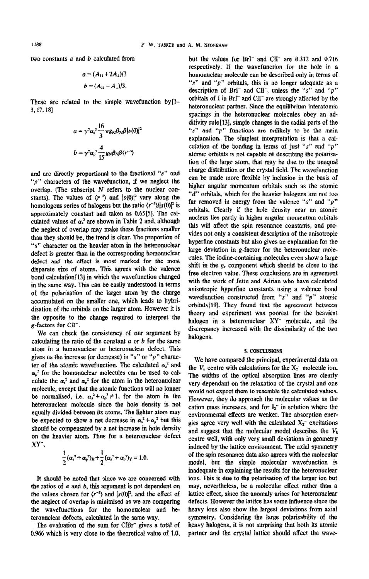two constants  $a$  and  $b$  calculated from

$$
a = (A_{11} + 2A_{\perp})/3
$$
  

$$
b = (A_{11} - A_{\perp})/3.
$$

These are related to the simple wavefunction by  $[1 -$ 3, 17, 18]

$$
a = \gamma^2 \alpha_s^2 \frac{16}{3} \pi g_N \beta_N \beta |s(0)|^2
$$

$$
b = \gamma^2 \alpha_p^2 \frac{4}{15} g_N \beta_N \beta \langle r^{-3} \rangle
$$

and are directly proportional to the fractional "s" and " $p$ " characters of the wavefunction, if we neglect the overlap. (The subscript  $N$  refers to the nuclear constants). The values of  $\langle r^{-3} \rangle$  and  $|s(0)|^2$  vary along the homologous series of halogens but the ratio  $\langle r^{-3} \rangle / |s(0)|^2$  is approximately constant and taken as 0.65[5]. The calculated values of  $\alpha_s^2$  are shown in Table 2 and, although the neglect of overlap may make these fractions smaller than they should be, the trend is clear. The proportion of "s" character on the heavier atom in the heteronuclear defect is greater than in the corresponding homonuclear defect and the effect is most marked for the most disparate size of atoms. This agrees with the valence bond calculation[13] in which the wavefunction changed in the same way. This can be easily understood in terms of the polarisation of the larger atom by the charge accumulated on the smaller one, which leads to hybridisation of the orbitals on the larger atom. However it is the opposite to the change required to interpret the g-factors for CII".

We can check the consistency of our argument by calculating the ratio of the constant  $a$  or  $b$  for the same atom in a homonuclear or heteronuclear defect. This gives us the increase (or decrease) in " $s$ " or " $p$ " character of the atomic wavefunction. The calculated  $\alpha_s^2$  and  $\alpha_o^2$  for the homonuclear molecules can be used to calculate the  $\alpha_s^2$  and  $\alpha_p^2$  for the atom in the heteronuclear molecule, except that the atomic functions will no longer be normalised, i.e.  $\alpha_s^2 + \alpha_p^2 \neq 1$ , for the atom in the heteronuclear molecule since the hole density is not equally divided between its atoms. The lighter atom may be expected to show a net decrease in  $\alpha_s^2 + \alpha_p^2$  but this should be compensated by a net increase in hole density on the heavier atom. Thus for a heteronuclear defect XY<sup>-</sup>,

$$
\frac{1}{2}(\alpha_s^2+\alpha_p^2)_X+\frac{1}{2}(\alpha_s^2+\alpha_p^2)_Y=1.0.
$$

It should be noted that since we are concerned with the ratios of  $a$  and  $b$ , this argument is not dependent on the values chosen for  $(r^{-3})$  and  $|s(0)|^2$ , and the effect of the neglect of overlap is minimised as we are comparing the wavefunctions for the homonuclear and heteronuclear defects, calculated in the same way.

The evaluation of the sum for CIBr<sup>-</sup> gives a total of 0.966 which is very close to the theoretical value of 1.0, but the values for BrI<sup>-</sup> and CII<sup>-</sup> are 0.312 and 0.716 respectively. If the wavefunction for the hole in a homonuclear molecule can be described only in terms of "s" and " $p$ " orbitals, this is no longer adequate as a description of BrI<sup>-</sup> and CII<sup>-</sup>, unless the "s" and "p" orbitals of I in BrI<sup>-</sup> and CII<sup>-</sup> are strongly affected by the heteronuclear partner. Since the equilibrium interatomic spacings in the heteronuclear molecules obey an additivity rule [13], simple changes in the radial parts of the "s" and " $p$ " functions are unlikely to be the main explanation. The simplest interpretation is that a calculation of the bonding in terms of just " $s$ " and " $p$ " atomic orbitals is not capable of describing the polarisation of the large atom, that may be due to the unequal charge distribution or the crystal field. The wavefunction can be made more flexible by inclusion in the basis of higher angular momentum orbitals such as the atomic "d" orbitals, which for the heavier halogens are not too far removed in energy from the valence "s" and " $p$ " orbitals. Clearly if the hole density near an atomic nucleus lies partly in higher angular momentum orbitals this will affect the spin resonance constants, and provides not only a consistent description of the anisotropic hyperfine constants but also gives an explanation for the large deviation in g-factor for the heteronuclear molecules. The iodine-containing molecules even show a large shift in the  $g<sub>z</sub>$  component which should be close to the free electron value. These conclusions are in agreement with the work of Jette and Adrian who have calculated anisotropic hyperfine constants using a valence bond wavefunction constructed from " $s$ " and " $p$ " atomic orbitals<sup>[19]</sup>. They found that the agreement between theory and experiment was poorest for the heaviest halogen in a heteronuclear XY" molecule, and the discrepancy increased with the dissimilarity of the two halogens.

### 5. CONCLUSIONS

We have compared the principal, experimental data on the  $V_k$  centre with calculations for the  $X_2$  molecule ion. The widths of the optical absorption lines are clearly very dependant on the relaxation of the crystal and one would not expect them to resemble the calculated values. However, they do approach the molecular values as the cation mass increases, and for  $I_2$  in solution where the environmental effects are weaker. The absorption energies agree very well with the calculated  $X_2^-$  excitations and suggest that the molecular model describes the  $V_k$ centre well, with only very small deviations in geometry induced by the lattice environment. The axial symmetry of the spin resonance data also agrees with the molecular model, but the simple molecular wavefunction is inadequate in explaining the results for the heteronuclear ions. This is due to the polarisation of the larger ion but may, nevertheless, be a molecular effect rather than a lattice effect, since the anomaly arises for heteronuclear defects. However the lattice has some influence since the heavy ions also show the largest deviations from axial symmetry, Considering the large polarisability of the heavy halogens, it is not surprising that both its atomic partner and the crystal lattice should affect the wave